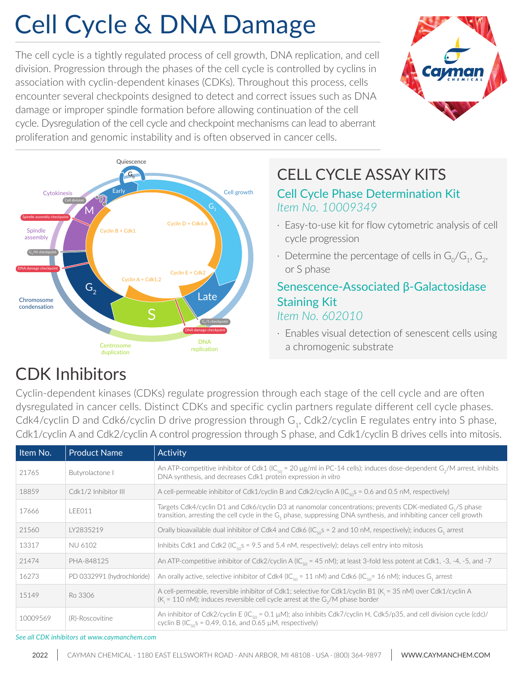# Cell Cycle & DNA Damage

The cell cycle is a tightly regulated process of cell growth, DNA replication, and cell division. Progression through the phases of the cell cycle is controlled by cyclins in association with cyclin-dependent kinases (CDKs). Throughout this process, cells encounter several checkpoints designed to detect and correct issues such as DNA damage or improper spindle formation before allowing continuation of the cell cycle. Dysregulation of the cell cycle and checkpoint mechanisms can lead to aberrant proliferation and genomic instability and is often observed in cancer cells.





### CELL CYCLE ASSAY KITS

### Cell Cycle Phase Determination Kit *Item No. 10009349*

- · Easy-to-use kit for flow cytometric analysis of cell cycle progression
- $\cdot$  Determine the percentage of cells in  $\mathsf{G}_{\scriptscriptstyle{0}}\mathsf{/G}_{\scriptscriptstyle{1}}, \mathsf{G}_{\scriptscriptstyle{2}}\mathsf{,}$ or S phase

### Senescence-Associated β-Galactosidase Staining Kit *Item No. 602010*

· Enables visual detection of senescent cells using a chromogenic substrate

### CDK Inhibitors

Cyclin-dependent kinases (CDKs) regulate progression through each stage of the cell cycle and are often dysregulated in cancer cells. Distinct CDKs and specific cyclin partners regulate different cell cycle phases. Cdk4/cyclin D and Cdk6/cyclin D drive progression through G<sub>1</sub>, Cdk2/cyclin E regulates entry into S phase, Cdk1/cyclin A and Cdk2/cyclin A control progression through S phase, and Cdk1/cyclin B drives cells into mitosis.

| Item No. | <b>Product Name</b>        | Activity                                                                                                                                                                                                                                               |
|----------|----------------------------|--------------------------------------------------------------------------------------------------------------------------------------------------------------------------------------------------------------------------------------------------------|
| 21765    | Butyrolactone I            | An ATP-competitive inhibitor of Cdk1 (IC <sub>50</sub> = 20 µg/ml in PC-14 cells); induces dose-dependent G <sub>2</sub> /M arrest, inhibits<br>DNA synthesis, and decreases Cdk1 protein expression in vitro                                          |
| 18859    | Cdk1/2 Inhibitor III       | A cell-permeable inhibitor of Cdk1/cyclin B and Cdk2/cyclin A (IC <sub>so</sub> s = 0.6 and 0.5 nM, respectively)                                                                                                                                      |
| 17666    | LEE011                     | Targets Cdk4/cyclin D1 and Cdk6/cyclin D3 at nanomolar concentrations; prevents CDK-mediated G <sub>1</sub> /S phase<br>transition, arresting the cell cycle in the G <sub>1</sub> phase, suppressing DNA synthesis, and inhibiting cancer cell growth |
| 21560    | IY2835219                  | Orally bioavailable dual inhibitor of Cdk4 and Cdk6 ( $IC_{50}$ s = 2 and 10 nM, respectively); induces G <sub>1</sub> arrest                                                                                                                          |
| 13317    | <b>NU 6102</b>             | Inhibits Cdk1 and Cdk2 (IC <sub>50</sub> s = 9.5 and 5.4 nM, respectively); delays cell entry into mitosis                                                                                                                                             |
| 21474    | PHA-848125                 | An ATP-competitive inhibitor of Cdk2/cyclin A (IC <sub>50</sub> = 45 nM); at least 3-fold less potent at Cdk1, -3, -4, -5, and -7                                                                                                                      |
| 16273    | PD 0332991 (hydrochloride) | An orally active, selective inhibitor of Cdk4 (IC <sub>so</sub> = 11 nM) and Cdk6 (IC <sub>so</sub> = 16 nM); induces G <sub>1</sub> arrest                                                                                                            |
| 15149    | Ro 3306                    | A cell-permeable, reversible inhibitor of Cdk1; selective for Cdk1/cyclin B1 (K <sub>i</sub> = 35 nM) over Cdk1/cyclin A<br>( $K_i$ = 110 nM); induces reversible cell cycle arrest at the $G_2/M$ phase border                                        |
| 10009569 | (R)-Roscovitine            | An inhibitor of Cdk2/cyclin E (IC <sub>s0</sub> = 0.1 $\mu$ M); also inhibits Cdk7/cyclin H, Cdk5/p35, and cell division cycle (cdc)/<br>cyclin B (IC <sub>50</sub> S = 0.49, 0.16, and $\overline{0.65}$ µM, respectively)                            |

*See all CDK inhibitors at [www.caymanchem.com](https://www.caymanchem.com/search?fq=raptas%3ARAP455227)*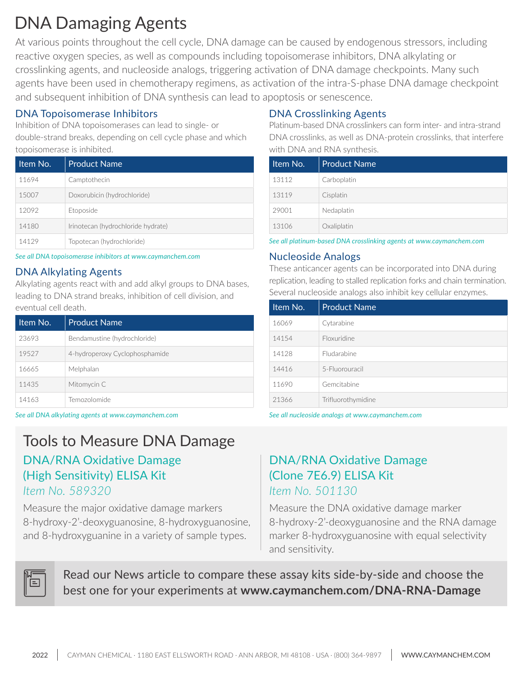### DNA Damaging Agents

At various points throughout the cell cycle, DNA damage can be caused by endogenous stressors, including reactive oxygen species, as well as compounds including topoisomerase inhibitors, DNA alkylating or crosslinking agents, and nucleoside analogs, triggering activation of DNA damage checkpoints. Many such agents have been used in chemotherapy regimens, as activation of the intra-S-phase DNA damage checkpoint and subsequent inhibition of DNA synthesis can lead to apoptosis or senescence.

### DNA Topoisomerase Inhibitors

Inhibition of DNA topoisomerases can lead to single- or double-strand breaks, depending on cell cycle phase and which topoisomerase is inhibited.

| Item No. | <b>Product Name</b>                |
|----------|------------------------------------|
| 11694    | Camptothecin                       |
| 15007    | Doxorubicin (hydrochloride)        |
| 12092    | Etoposide                          |
| 14180    | Irinotecan (hydrochloride hydrate) |
| 14129    | Topotecan (hydrochloride)          |

*See all DNA topoisomerase inhibitors at [www.caymanchem.com](https://www.caymanchem.com/search?fq=raptas%3ARAP455469)*

### DNA Alkylating Agents

Alkylating agents react with and add alkyl groups to DNA bases, leading to DNA strand breaks, inhibition of cell division, and eventual cell death.

| Item No. | <b>Product Name</b>            |
|----------|--------------------------------|
| 23693    | Bendamustine (hydrochloride)   |
| 19527    | 4-hydroperoxy Cyclophosphamide |
| 16665    | Melphalan                      |
| 11435    | Mitomycin C                    |
| 14163    | Temozolomide                   |

*See all DNA alkylating agents at [www.caymanchem.com](https://www.caymanchem.com/search?fq=raptas%3ARAP455211) See all nucleoside analogs at [www.caymanchem.com](https://www.caymanchem.com/search?fq=raptas%3ARAP000053&fq=raptas%3ARAP000112)*

### Tools to Measure DNA Damage DNA/RNA Oxidative Damage (High Sensitivity) ELISA Kit *Item No. 589320*

Measure the major oxidative damage markers 8-hydroxy-2'-deoxyguanosine , 8-hydroxyguanosine, and 8-hydroxyguanine in a variety of sample types.

### DNA Crosslinking Agents

Platinum-based DNA crosslinkers can form inter- and intra-strand DNA crosslinks, as well as DNA-protein crosslinks, that interfere with DNA and RNA synthesis.

| Item No. | <b>Product Name</b> |
|----------|---------------------|
| 13112    | Carboplatin         |
| 13119    | Cisplatin           |
| 29001    | Nedaplatin          |
| 13106    | Oxaliplatin         |

*See all platinum-based DNA crosslinking agents at [www.caymanchem.com](https://www.caymanchem.com/search?fq=raptas%3ARAP000115&q=platinum)*

#### Nucleoside Analogs

These anticancer agents can be incorporated into DNA during replication, leading to stalled replication forks and chain termination. Several nucleoside analogs also inhibit key cellular enzymes.

| Item No. | <b>Product Name</b> |
|----------|---------------------|
| 16069    | Cytarabine          |
| 14154    | Floxuridine         |
| 14128    | <b>Fludarabine</b>  |
| 14416    | 5-Fluorouracil      |
| 11690    | Gemcitabine         |
| 21366    | Trifluorothymidine  |

### DNA/RNA Oxidative Damage (Clone 7E6.9) ELISA Kit *Item No. 501130*

Measure the DNA oxidative damage marker 8-hydroxy-2'-deoxyguanosine and the RNA damage marker 8-hydroxyguanosine with equal selectivity and sensitivity.



Read our News article to compare these assay kits side-by-side and choose the best one for your experiments at **[www.caymanchem.com/DNA-RNA-Damage](http://www.caymanchem.com/DNA-RNA-Damage)**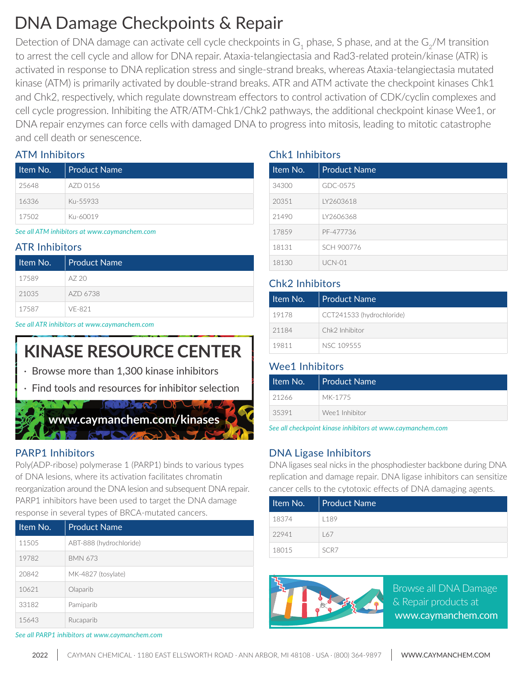### DNA Damage Checkpoints & Repair

Detection of DNA damage can activate cell cycle checkpoints in  ${\sf G}_1$  phase, S phase, and at the  ${\sf G}_2/$ M transition to arrest the cell cycle and allow for DNA repair. Ataxia-telangiectasia and Rad3-related protein/kinase (ATR) is activated in response to DNA replication stress and single-strand breaks, whereas Ataxia-telangiectasia mutated kinase (ATM) is primarily activated by double-strand breaks. ATR and ATM activate the checkpoint kinases Chk1 and Chk2, respectively, which regulate downstream effectors to control activation of CDK/cyclin complexes and cell cycle progression. Inhibiting the ATR/ATM-Chk1/Chk2 pathways, the additional checkpoint kinase Wee1, or DNA repair enzymes can force cells with damaged DNA to progress into mitosis, leading to mitotic catastrophe and cell death or senescence.

### ATM Inhibitors

| Item No. | Product Name |
|----------|--------------|
| 25648    | AZD 0156     |
| 16336    | Ku-55933     |
| 17502    | Ku-60019     |

*See all ATM inhibitors at [www.caymanchem.com](https://www.caymanchem.com/search?fq=raptas%3ARAP455223)*

### ATR Inhibitors

| Item No. | Product Name |
|----------|--------------|
| 17589    | AZ 20        |
| 21035    | AZD 6738     |
| 17587    | VF-821       |

*See all ATR inhibitors at [www.caymanchem.com](https://www.caymanchem.com/search?fq=raptas%3ARAP691503)*

## **KINASE RESOURCE CENTER**

- · Browse more than 1,300 kinase inhibitors
- Find tools and resources for inhibitor selection



### PARP1 Inhibitors

Poly(ADP-ribose) polymerase 1 (PARP1) binds to various types of DNA lesions, where its activation facilitates chromatin reorganization around the DNA lesion and subsequent DNA repair. PARP1 inhibitors have been used to target the DNA damage response in several types of BRCA-mutated cancers.

| Item No. | <b>Product Name</b>     |
|----------|-------------------------|
| 11505    | ABT-888 (hydrochloride) |
| 19782    | <b>BMN 673</b>          |
| 20842    | MK-4827 (tosylate)      |
| 10621    | Olaparib                |
| 33182    | Pamiparib               |
| 15643    | Rucaparib               |

### Chk1 Inhibitors

| Item No. | <b>Product Name</b> |  |
|----------|---------------------|--|
| 34300    | GDC-0575            |  |
| 20351    | LY2603618           |  |
| 21490    | IY2606368           |  |
| 17859    | PF-477736           |  |
| 18131    | SCH 900776          |  |
| 18130    | $UCN-01$            |  |

#### Chk2 Inhibitors

| Iltem No.' | <b>Product Name</b>       |
|------------|---------------------------|
| 19178      | CCT241533 (hydrochloride) |
| 21184      | Chk2 Inhibitor            |
| 19811      | NSC 109555                |

#### Wee1 Inhibitors

| Item No. | Product Name   |
|----------|----------------|
| 21266    | MK-1775        |
| 35391    | Wee1 Inhibitor |

*See all checkpoint kinase inhibitors at [www.caymanchem.com](https://www.caymanchem.com/search?fq=raptas%3ARAP455228)*

### DNA Ligase Inhibitors

DNA ligases seal nicks in the phosphodiester backbone during DNA replication and damage repair. DNA ligase inhibitors can sensitize cancer cells to the cytotoxic effects of DNA damaging agents.

| Item No. | Product Name |
|----------|--------------|
| 18374    | 189          |
| 22941    | 167          |
| 18015    | SCR7         |



Browse all DNA Damage & Repair products at  [www.caymanchem.com](https://www.caymanchem.com/search?fq=raptas%3ARAP000115)

*See all PARP1 inhibitors at [www.caymanchem.com](https://www.caymanchem.com/search?fq=raptas%3ARAP455447&q=parp1)*